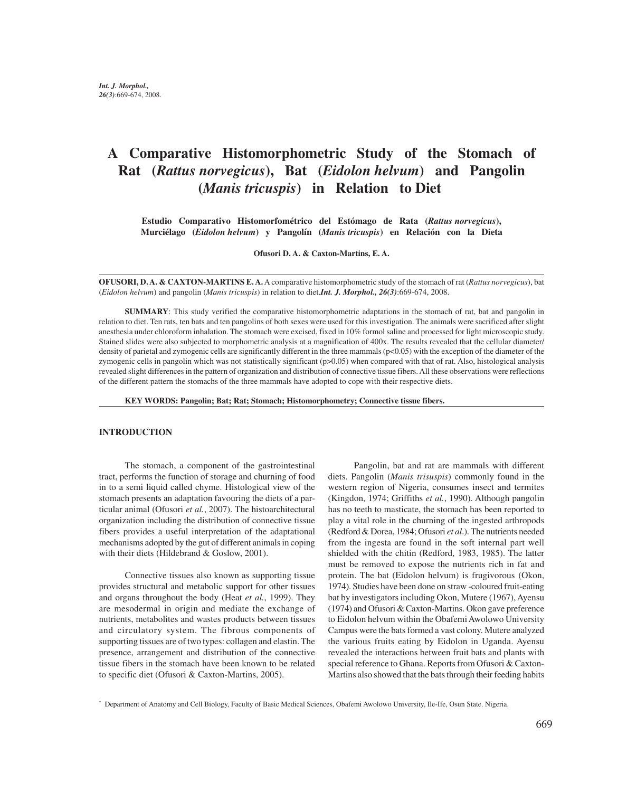# **A Comparative Histomorphometric Study of the Stomach of Rat (***Rattus norvegicus***), Bat (***Eidolon helvum***) and Pangolin (***Manis tricuspis***) in Relation to Diet**

**Estudio Comparativo Histomorfométrico del Estómago de Rata (***Rattus norvegicus***), Murciélago (***Eidolon helvum***) y Pangolín (***Manis tricuspis***) en Relación con la Dieta**

**Ofusori D. A. & Caxton-Martins, E. A.**

**OFUSORI, D. A. & CAXTON-MARTINS E. A.** A comparative histomorphometric study of the stomach of rat (*Rattus norvegicus*), bat (*Eidolon helvum*) and pangolin (*Manis tricuspis*) in relation to diet.*Int. J. Morphol., 26(3)*:669-674, 2008.

**SUMMARY**: This study verified the comparative histomorphometric adaptations in the stomach of rat, bat and pangolin in relation to diet. Ten rats, ten bats and ten pangolins of both sexes were used for this investigation. The animals were sacrificed after slight anesthesia under chloroform inhalation. The stomach were excised, fixed in 10% formol saline and processed for light microscopic study. Stained slides were also subjected to morphometric analysis at a magnification of 400x. The results revealed that the cellular diameter/ density of parietal and zymogenic cells are significantly different in the three mammals (p<0.05) with the exception of the diameter of the zymogenic cells in pangolin which was not statistically significant (p>0.05) when compared with that of rat. Also, histological analysis revealed slight differences in the pattern of organization and distribution of connective tissue fibers. All these observations were reflections of the different pattern the stomachs of the three mammals have adopted to cope with their respective diets.

**KEY WORDS: Pangolin; Bat; Rat; Stomach; Histomorphometry; Connective tissue fibers.**

#### **INTRODUCTION**

The stomach, a component of the gastrointestinal tract, performs the function of storage and churning of food in to a semi liquid called chyme. Histological view of the stomach presents an adaptation favouring the diets of a particular animal (Ofusori *et al.*, 2007). The histoarchitectural organization including the distribution of connective tissue fibers provides a useful interpretation of the adaptational mechanisms adopted by the gut of different animals in coping with their diets (Hildebrand & Goslow, 2001).

Connective tissues also known as supporting tissue provides structural and metabolic support for other tissues and organs throughout the body (Heat *et al.*, 1999). They are mesodermal in origin and mediate the exchange of nutrients, metabolites and wastes products between tissues and circulatory system. The fibrous components of supporting tissues are of two types: collagen and elastin. The presence, arrangement and distribution of the connective tissue fibers in the stomach have been known to be related to specific diet (Ofusori & Caxton-Martins, 2005).

Pangolin, bat and rat are mammals with different diets. Pangolin (*Manis trisuspis*) commonly found in the western region of Nigeria, consumes insect and termites (Kingdon, 1974; Griffiths *et al.*, 1990). Although pangolin has no teeth to masticate, the stomach has been reported to play a vital role in the churning of the ingested arthropods (Redford & Dorea, 1984; Ofusori *et al*.). The nutrients needed from the ingesta are found in the soft internal part well shielded with the chitin (Redford, 1983, 1985). The latter must be removed to expose the nutrients rich in fat and protein. The bat (Eidolon helvum) is frugivorous (Okon, 1974). Studies have been done on straw -coloured fruit-eating bat by investigators including Okon, Mutere (1967), Ayensu (1974) and Ofusori & Caxton-Martins. Okon gave preference to Eidolon helvum within the Obafemi Awolowo University Campus were the bats formed a vast colony. Mutere analyzed the various fruits eating by Eidolon in Uganda. Ayensu revealed the interactions between fruit bats and plants with special reference to Ghana. Reports from Ofusori & Caxton-Martins also showed that the bats through their feeding habits

<sup>\*</sup> Department of Anatomy and Cell Biology, Faculty of Basic Medical Sciences, Obafemi Awolowo University, Ile-Ife, Osun State. Nigeria.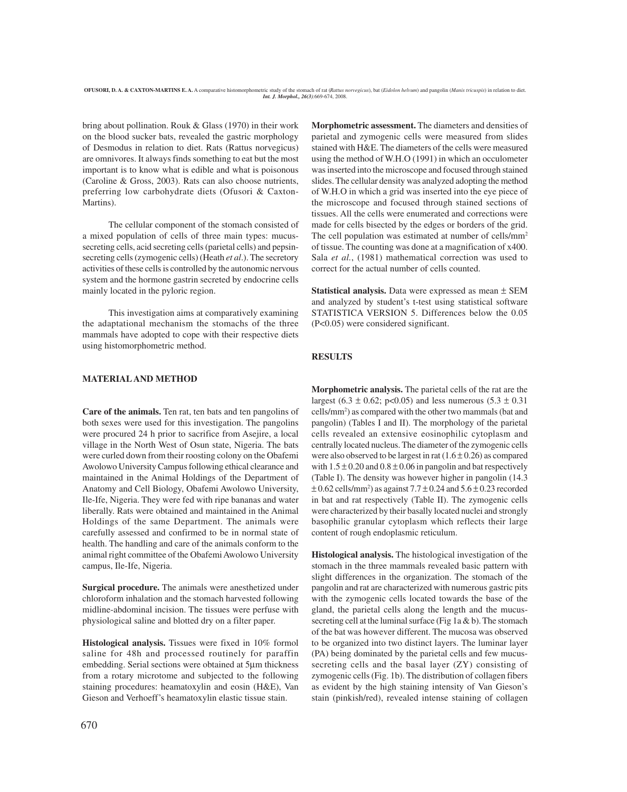bring about pollination. Rouk & Glass (1970) in their work on the blood sucker bats, revealed the gastric morphology of Desmodus in relation to diet. Rats (Rattus norvegicus) are omnivores. It always finds something to eat but the most important is to know what is edible and what is poisonous (Caroline & Gross, 2003). Rats can also choose nutrients, preferring low carbohydrate diets (Ofusori & Caxton-Martins).

The cellular component of the stomach consisted of a mixed population of cells of three main types: mucussecreting cells, acid secreting cells (parietal cells) and pepsinsecreting cells (zymogenic cells) (Heath *et al*.). The secretory activities of these cells is controlled by the autonomic nervous system and the hormone gastrin secreted by endocrine cells mainly located in the pyloric region.

This investigation aims at comparatively examining the adaptational mechanism the stomachs of the three mammals have adopted to cope with their respective diets using histomorphometric method.

# **MATERIAL AND METHOD**

**Care of the animals.** Ten rat, ten bats and ten pangolins of both sexes were used for this investigation. The pangolins were procured 24 h prior to sacrifice from Asejire, a local village in the North West of Osun state, Nigeria. The bats were curled down from their roosting colony on the Obafemi Awolowo University Campus following ethical clearance and maintained in the Animal Holdings of the Department of Anatomy and Cell Biology, Obafemi Awolowo University, Ile-Ife, Nigeria. They were fed with ripe bananas and water liberally. Rats were obtained and maintained in the Animal Holdings of the same Department. The animals were carefully assessed and confirmed to be in normal state of health. The handling and care of the animals conform to the animal right committee of the Obafemi Awolowo University campus, Ile-Ife, Nigeria.

**Surgical procedure.** The animals were anesthetized under chloroform inhalation and the stomach harvested following midline-abdominal incision. The tissues were perfuse with physiological saline and blotted dry on a filter paper.

**Histological analysis.** Tissues were fixed in 10% formol saline for 48h and processed routinely for paraffin embedding. Serial sections were obtained at 5µm thickness from a rotary microtome and subjected to the following staining procedures: heamatoxylin and eosin (H&E), Van Gieson and Verhoeff's heamatoxylin elastic tissue stain.

**Morphometric assessment.** The diameters and densities of parietal and zymogenic cells were measured from slides stained with H&E. The diameters of the cells were measured using the method of W.H.O (1991) in which an occulometer was inserted into the microscope and focused through stained slides. The cellular density was analyzed adopting the method of W.H.O in which a grid was inserted into the eye piece of the microscope and focused through stained sections of tissues. All the cells were enumerated and corrections were made for cells bisected by the edges or borders of the grid. The cell population was estimated at number of cells/mm<sup>2</sup> of tissue. The counting was done at a magnification of x400. Sala *et al.*, (1981) mathematical correction was used to correct for the actual number of cells counted.

**Statistical analysis.** Data were expressed as mean ± SEM and analyzed by student's t-test using statistical software STATISTICA VERSION 5. Differences below the 0.05 (P<0.05) were considered significant.

# **RESULTS**

**Morphometric analysis.** The parietal cells of the rat are the largest (6.3  $\pm$  0.62; p<0.05) and less numerous (5.3  $\pm$  0.31 cells/mm2 ) as compared with the other two mammals (bat and pangolin) (Tables I and II). The morphology of the parietal cells revealed an extensive eosinophilic cytoplasm and centrally located nucleus. The diameter of the zymogenic cells were also observed to be largest in rat  $(1.6 \pm 0.26)$  as compared with  $1.5 \pm 0.20$  and  $0.8 \pm 0.06$  in pangolin and bat respectively (Table I). The density was however higher in pangolin (14.3  $\pm$  0.62 cells/mm<sup>2</sup>) as against 7.7  $\pm$  0.24 and 5.6  $\pm$  0.23 recorded in bat and rat respectively (Table II). The zymogenic cells were characterized by their basally located nuclei and strongly basophilic granular cytoplasm which reflects their large content of rough endoplasmic reticulum.

**Histological analysis.** The histological investigation of the stomach in the three mammals revealed basic pattern with slight differences in the organization. The stomach of the pangolin and rat are characterized with numerous gastric pits with the zymogenic cells located towards the base of the gland, the parietal cells along the length and the mucussecreting cell at the luminal surface (Fig  $1a \& b$ ). The stomach of the bat was however different. The mucosa was observed to be organized into two distinct layers. The luminar layer (PA) being dominated by the parietal cells and few mucussecreting cells and the basal layer (ZY) consisting of zymogenic cells (Fig. 1b). The distribution of collagen fibers as evident by the high staining intensity of Van Gieson's stain (pinkish/red), revealed intense staining of collagen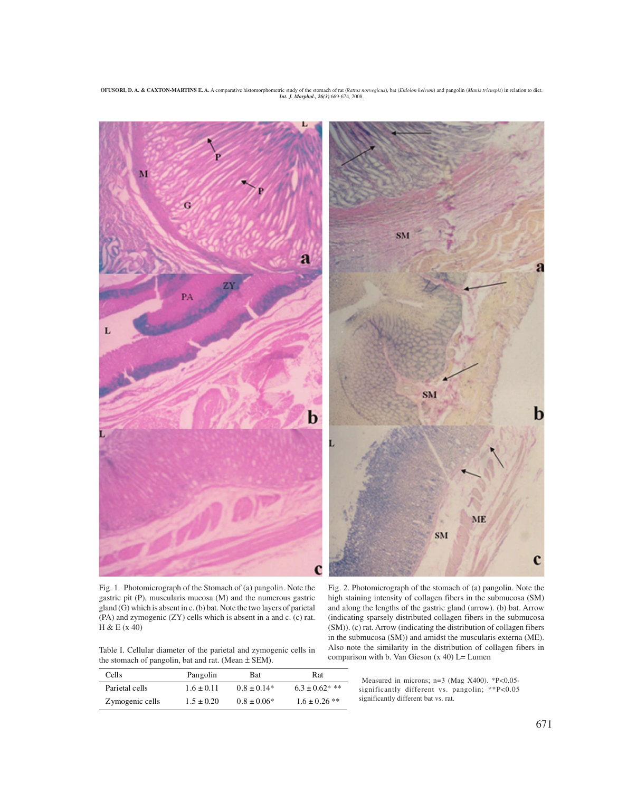**OFUSORI, D. A. & CAXTON-MARTINS E. A.** A comparative histomorphometric study of the stomach of rat (*Rattus norvegicus*), bat (*Eidolon helvum*) and pangolin (*Manis tricuspis*) in relation to diet. *Int. J. Morphol., 26(3)*:669-674, 2008.



Fig. 1. Photomicrograph of the Stomach of (a) pangolin. Note the gastric pit (P), muscularis mucosa (M) and the numerous gastric gland (G) which is absent in c. (b) bat. Note the two layers of parietal (PA) and zymogenic (ZY) cells which is absent in a and c. (c) rat. H & E (x 40)

Table I. Cellular diameter of the parietal and zymogenic cells in the stomach of pangolin, bat and rat. (Mean  $\pm$  SEM).

| Cell s          | Pangolin       | <b>Bat</b>      | Rat                 |
|-----------------|----------------|-----------------|---------------------|
| Parietal cells  | $1.6 \pm 0.11$ | $0.8 \pm 0.14*$ | $6.3 \pm 0.62$ * ** |
| Zymogenic cells | $1.5 \pm 0.20$ | $0.8 \pm 0.06*$ | $1.6 \pm 0.26$ **   |

Fig. 2. Photomicrograph of the stomach of (a) pangolin. Note the high staining intensity of collagen fibers in the submucosa (SM) and along the lengths of the gastric gland (arrow). (b) bat. Arrow (indicating sparsely distributed collagen fibers in the submucosa (SM)). (c) rat. Arrow (indicating the distribution of collagen fibers in the submucosa (SM)) and amidst the muscularis externa (ME). Also note the similarity in the distribution of collagen fibers in comparison with b. Van Gieson  $(x 40)$  L= Lumen

Measured in microns; n=3 (Mag X400). \*P<0.05significantly different vs. pangolin; \*\*P<0.05 significantly different bat vs. rat.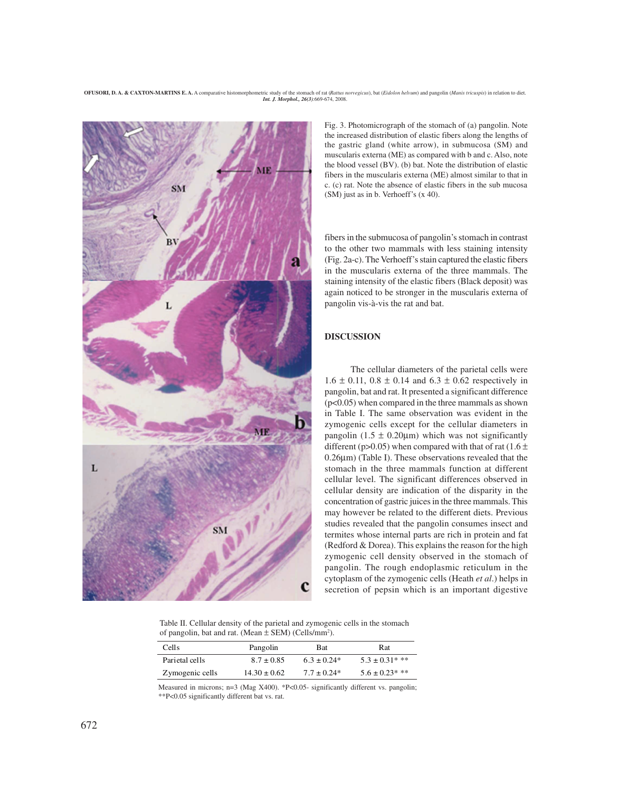**OFUSORI, D. A. & CAXTON-MARTINS E. A.** A comparative histomorphometric study of the stomach of rat (*Rattus norvegicus*), bat (*Eidolon helvum*) and pangolin (*Manis tricuspis*) in relation to diet. *Int. J. Morphol., 26(3)*:669-674, 2008.



Fig. 3. Photomicrograph of the stomach of (a) pangolin. Note the increased distribution of elastic fibers along the lengths of the gastric gland (white arrow), in submucosa (SM) and muscularis externa (ME) as compared with b and c. Also, note the blood vessel (BV). (b) bat. Note the distribution of elastic fibers in the muscularis externa (ME) almost similar to that in c. (c) rat. Note the absence of elastic fibers in the sub mucosa (SM) just as in b. Verhoeff's (x 40).

fibers in the submucosa of pangolin's stomach in contrast to the other two mammals with less staining intensity (Fig. 2a-c). The Verhoeff's stain captured the elastic fibers in the muscularis externa of the three mammals. The staining intensity of the elastic fibers (Black deposit) was again noticed to be stronger in the muscularis externa of pangolin vis-à-vis the rat and bat.

### **DISCUSSION**

The cellular diameters of the parietal cells were  $1.6 \pm 0.11$ ,  $0.8 \pm 0.14$  and  $6.3 \pm 0.62$  respectively in pangolin, bat and rat. It presented a significant difference (p<0.05) when compared in the three mammals as shown in Table I. The same observation was evident in the zymogenic cells except for the cellular diameters in pangolin  $(1.5 \pm 0.20 \mu m)$  which was not significantly different (p>0.05) when compared with that of rat (1.6  $\pm$ 0.26µm) (Table I). These observations revealed that the stomach in the three mammals function at different cellular level. The significant differences observed in cellular density are indication of the disparity in the concentration of gastric juices in the three mammals. This may however be related to the different diets. Previous studies revealed that the pangolin consumes insect and termites whose internal parts are rich in protein and fat (Redford & Dorea). This explains the reason for the high zymogenic cell density observed in the stomach of pangolin. The rough endoplasmic reticulum in the cytoplasm of the zymogenic cells (Heath *et al*.) helps in secretion of pepsin which is an important digestive

Table II. Cellular density of the parietal and zymogenic cells in the stomach of pangolin, bat and rat. (Mean  $\pm$  SEM) (Cells/mm<sup>2</sup>).

| Cells           | Pangolin         | <b>Bat</b>      | <b>Rat</b>          |
|-----------------|------------------|-----------------|---------------------|
| Parietal cells  | $8.7 \pm 0.85$   | $6.3 \pm 0.24*$ | $5.3 \pm 0.31$ * ** |
| Zymogenic cells | $14.30 \pm 0.62$ | $7.7 \pm 0.24*$ | $5.6 \pm 0.23$ * ** |

Measured in microns; n=3 (Mag X400). \*P<0.05- significantly different vs. pangolin; \*\*P<0.05 significantly different bat vs. rat.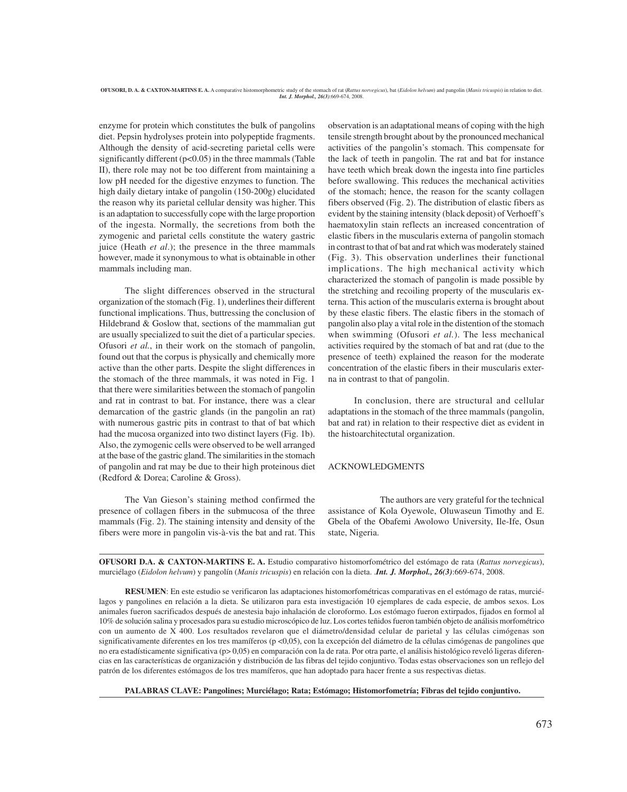enzyme for protein which constitutes the bulk of pangolins diet. Pepsin hydrolyses protein into polypeptide fragments. Although the density of acid-secreting parietal cells were significantly different ( $p<0.05$ ) in the three mammals (Table II), there role may not be too different from maintaining a low pH needed for the digestive enzymes to function. The high daily dietary intake of pangolin (150-200g) elucidated the reason why its parietal cellular density was higher. This is an adaptation to successfully cope with the large proportion of the ingesta. Normally, the secretions from both the zymogenic and parietal cells constitute the watery gastric juice (Heath *et al*.); the presence in the three mammals however, made it synonymous to what is obtainable in other mammals including man.

The slight differences observed in the structural organization of the stomach (Fig. 1), underlines their different functional implications. Thus, buttressing the conclusion of Hildebrand & Goslow that, sections of the mammalian gut are usually specialized to suit the diet of a particular species. Ofusori *et al.*, in their work on the stomach of pangolin, found out that the corpus is physically and chemically more active than the other parts. Despite the slight differences in the stomach of the three mammals, it was noted in Fig. 1 that there were similarities between the stomach of pangolin and rat in contrast to bat. For instance, there was a clear demarcation of the gastric glands (in the pangolin an rat) with numerous gastric pits in contrast to that of bat which had the mucosa organized into two distinct layers (Fig. 1b). Also, the zymogenic cells were observed to be well arranged at the base of the gastric gland. The similarities in the stomach of pangolin and rat may be due to their high proteinous diet (Redford & Dorea; Caroline & Gross).

The Van Gieson's staining method confirmed the presence of collagen fibers in the submucosa of the three mammals (Fig. 2). The staining intensity and density of the fibers were more in pangolin vis-à-vis the bat and rat. This

observation is an adaptational means of coping with the high tensile strength brought about by the pronounced mechanical activities of the pangolin's stomach. This compensate for the lack of teeth in pangolin. The rat and bat for instance have teeth which break down the ingesta into fine particles before swallowing. This reduces the mechanical activities of the stomach; hence, the reason for the scanty collagen fibers observed (Fig. 2). The distribution of elastic fibers as evident by the staining intensity (black deposit) of Verhoeff's haematoxylin stain reflects an increased concentration of elastic fibers in the muscularis externa of pangolin stomach in contrast to that of bat and rat which was moderately stained (Fig. 3). This observation underlines their functional implications. The high mechanical activity which characterized the stomach of pangolin is made possible by the stretching and recoiling property of the muscularis externa. This action of the muscularis externa is brought about by these elastic fibers. The elastic fibers in the stomach of pangolin also play a vital role in the distention of the stomach when swimming (Ofusori *et al.*). The less mechanical activities required by the stomach of bat and rat (due to the presence of teeth) explained the reason for the moderate concentration of the elastic fibers in their muscularis externa in contrast to that of pangolin.

In conclusion, there are structural and cellular adaptations in the stomach of the three mammals (pangolin, bat and rat) in relation to their respective diet as evident in the histoarchitectutal organization.

### ACKNOWLEDGMENTS

The authors are very grateful for the technical assistance of Kola Oyewole, Oluwaseun Timothy and E. Gbela of the Obafemi Awolowo University, Ile-Ife, Osun state, Nigeria.

**OFUSORI D.A. & CAXTON-MARTINS E. A.** Estudio comparativo histomorfométrico del estómago de rata (*Rattus norvegicus*), murciélago (*Eidolon helvum*) y pangolín (*Manis tricuspis*) en relación con la dieta. .*Int. J. Morphol., 26(3)*:669-674, 2008.

**RESUMEN**: En este estudio se verificaron las adaptaciones histomorfométricas comparativas en el estómago de ratas, murciélagos y pangolines en relación a la dieta. Se utilizaron para esta investigación 10 ejemplares de cada especie, de ambos sexos. Los animales fueron sacrificados después de anestesia bajo inhalación de cloroformo. Los estómago fueron extirpados, fijados en formol al 10% de solución salina y procesados para su estudio microscópico de luz. Los cortes teñidos fueron también objeto de análisis morfométrico con un aumento de X 400. Los resultados revelaron que el diámetro/densidad celular de parietal y las células cimógenas son significativamente diferentes en los tres mamíferos (p <0,05), con la excepción del diámetro de la células cimógenas de pangolines que no era estadísticamente significativa (p> 0,05) en comparación con la de rata. Por otra parte, el análisis histológico reveló ligeras diferencias en las características de organización y distribución de las fibras del tejido conjuntivo. Todas estas observaciones son un reflejo del patrón de los diferentes estómagos de los tres mamíferos, que han adoptado para hacer frente a sus respectivas dietas.

**PALABRAS CLAVE: Pangolines; Murciélago; Rata; Estómago; Histomorfometría; Fibras del tejido conjuntivo.**